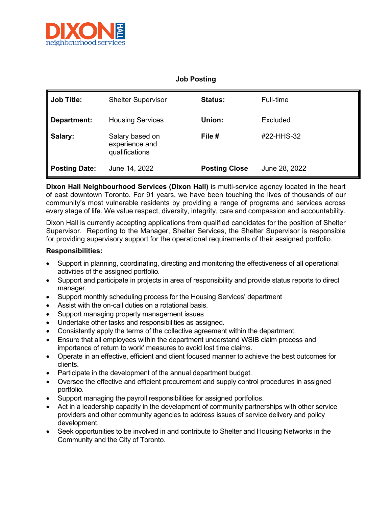

## **Job Posting**

| ∥ Job Title:  | <b>Shelter Supervisor</b>                           | <b>Status:</b>       | Full-time     |
|---------------|-----------------------------------------------------|----------------------|---------------|
| Department:   | <b>Housing Services</b>                             | Union:               | Excluded      |
| Salary:       | Salary based on<br>experience and<br>qualifications | File #               | #22-HHS-32    |
| Posting Date: | June 14, 2022                                       | <b>Posting Close</b> | June 28, 2022 |

**Dixon Hall Neighbourhood Services (Dixon Hall)** is multi-service agency located in the heart of east downtown Toronto. For 91 years, we have been touching the lives of thousands of our community's most vulnerable residents by providing a range of programs and services across every stage of life. We value respect, diversity, integrity, care and compassion and accountability.

Dixon Hall is currently accepting applications from qualified candidates for the position of Shelter Supervisor. Reporting to the Manager, Shelter Services, the Shelter Supervisor is responsible for providing supervisory support for the operational requirements of their assigned portfolio.

## **Responsibilities:**

- Support in planning, coordinating, directing and monitoring the effectiveness of all operational activities of the assigned portfolio.
- Support and participate in projects in area of responsibility and provide status reports to direct manager.
- Support monthly scheduling process for the Housing Services' department
- Assist with the on-call duties on a rotational basis.
- Support managing property management issues
- Undertake other tasks and responsibilities as assigned.
- Consistently apply the terms of the collective agreement within the department.
- Ensure that all employees within the department understand WSIB claim process and importance of return to work' measures to avoid lost time claims.
- Operate in an effective, efficient and client focused manner to achieve the best outcomes for clients.
- Participate in the development of the annual department budget.
- Oversee the effective and efficient procurement and supply control procedures in assigned portfolio.
- Support managing the payroll responsibilities for assigned portfolios.
- Act in a leadership capacity in the development of community partnerships with other service providers and other community agencies to address issues of service delivery and policy development.
- Seek opportunities to be involved in and contribute to Shelter and Housing Networks in the Community and the City of Toronto.